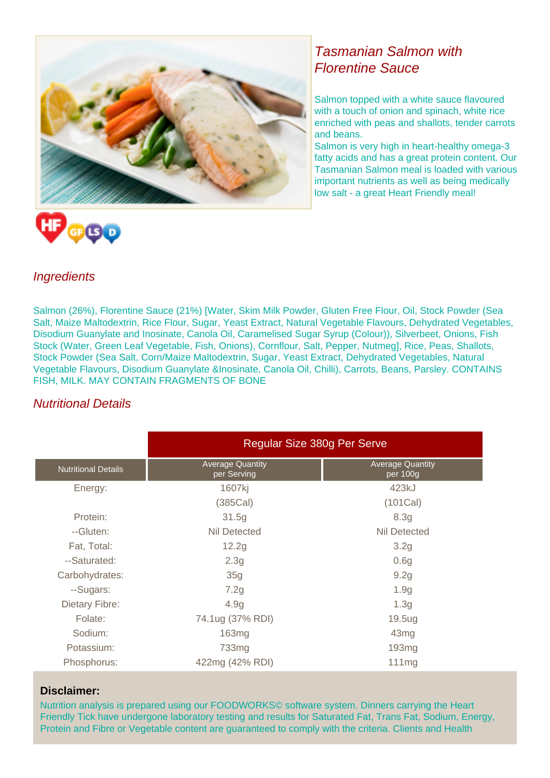

# Tasmanian Salmon with Florentine Sauce

Salmon topped with a white sauce flavoured with a touch of onion and spinach, white rice enriched with peas and shallots, tender carrots and beans.

Salmon is very high in heart-healthy omega-3 fatty acids and has a great protein content. Our Tasmanian Salmon meal is loaded with various important nutrients as well as being medically low salt - a great Heart Friendly meal!

### **Ingredients**

Salmon (26%), Florentine Sauce (21%) [Water, Skim Milk Powder, Gluten Free Flour, Oil, Stock Powder (Sea Salt, Maize Maltodextrin, Rice Flour, Sugar, Yeast Extract, Natural Vegetable Flavours, Dehydrated Vegetables, Disodium Guanylate and Inosinate, Canola Oil, Caramelised Sugar Syrup (Colour)), Silverbeet, Onions, Fish Stock (Water, Green Leaf Vegetable, Fish, Onions), Cornflour, Salt, Pepper, Nutmeg], Rice, Peas, Shallots, Stock Powder (Sea Salt, Corn/Maize Maltodextrin, Sugar, Yeast Extract, Dehydrated Vegetables, Natural Vegetable Flavours, Disodium Guanylate &Inosinate, Canola Oil, Chilli), Carrots, Beans, Parsley. CONTAINS FISH, MILK. MAY CONTAIN FRAGMENTS OF BONE

## Nutritional Details

|                            | Regular Size 380g Per Serve            |                                     |
|----------------------------|----------------------------------------|-------------------------------------|
| <b>Nutritional Details</b> | <b>Average Quantity</b><br>per Serving | <b>Average Quantity</b><br>per 100g |
| Energy:                    | 1607kj                                 | 423kJ                               |
|                            | (385Cal)                               | (101Cal)                            |
| Protein:                   | 31.5g                                  | 8.3g                                |
| --Gluten:                  | Nil Detected                           | Nil Detected                        |
| Fat, Total:                | 12.2g                                  | 3.2g                                |
| --Saturated:               | 2.3g                                   | 0.6 <sub>g</sub>                    |
| Carbohydrates:             | 35g                                    | 9.2g                                |
| --Sugars:                  | 7.2g                                   | 1.9 <sub>g</sub>                    |
| Dietary Fibre:             | 4.9 <sub>g</sub>                       | 1.3 <sub>g</sub>                    |
| Folate:                    | 74.1ug (37% RDI)                       | 19.5ug                              |
| Sodium:                    | 163mg                                  | 43 <sub>mg</sub>                    |
| Potassium:                 | 733mg                                  | 193 <sub>mg</sub>                   |
| Phosphorus:                | 422mg (42% RDI)                        | 111mg                               |

#### **Disclaimer:**

Nutrition analysis is prepared using our FOODWORKS© software system. Dinners carrying the Heart Friendly Tick have undergone laboratory testing and results for Saturated Fat, Trans Fat, Sodium, Energy, Protein and Fibre or Vegetable content are guaranteed to comply with the criteria. Clients and Health